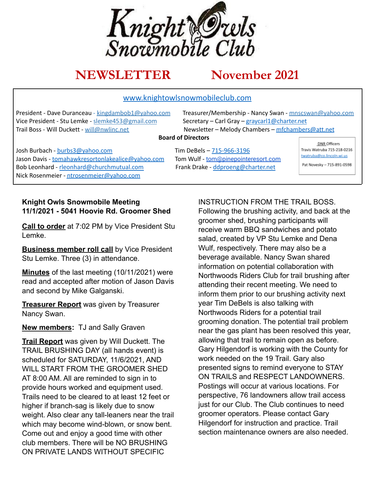

# **NEWSLETTER November 2021**

#### www.knightowlsnowmobileclub.com

President - Dave Duranceau - kingdambob1@yahoo.com Treasurer/Membership - Nancy Swan - mnscswan@yahoo.com Vice President - Stu Lemke - slemke453@gmail.com Secretary - Carl Gray - graycarl1@charter.net

Trail Boss - Will Duckett - will@nwlinc.net Newsletter – Melody Chambers – mfchambers@att.net

#### **Board of Directors**

Josh Burbach - burbs3@yahoo.com Tim DeBels – 715-966-3196 Jason Davis - tomahawkresortonlakealice@yahoo.com Tom Wulf - [tom@pinepointeresort.com](mailto:tom@pinepointeresort.com) Bob Leonhard - rleonhard@churchmutual.com Frank Drake - ddproeng@charter.net Nick Rosenmeier - ntrosenmeier@yahoo.com

DNR Officers Travis Watruba 715-218-0216 twatruba@co.lincoln.wi.us Pat Novesky - 715-891-0598

#### **Knight Owls Snowmobile Meeting 11/1/2021 - 5041 Hoovie Rd. Groomer Shed**

**Call to order** at 7:02 PM by Vice President Stu Lemke.

**Business member roll call** by Vice President Stu Lemke. Three (3) in attendance.

**Minutes** of the last meeting (10/11/2021) were read and accepted after motion of Jason Davis and second by Mike Galganski.

**Treasurer Report** was given by Treasurer Nancy Swan.

**New members:** TJ and Sally Graven

**Trail Report** was given by Will Duckett. The TRAIL BRUSHING DAY (all hands event) is scheduled for SATURDAY, 11/6/2021, AND WILL START FROM THE GROOMER SHED AT 8:00 AM. All are reminded to sign in to provide hours worked and equipment used. Trails need to be cleared to at least 12 feet or higher if branch-sag is likely due to snow weight. Also clear any tall-leaners near the trail which may become wind-blown, or snow bent. Come out and enjoy a good time with other club members. There will be NO BRUSHING ON PRIVATE LANDS WITHOUT SPECIFIC

INSTRUCTION FROM THE TRAIL BOSS.

Following the brushing activity, and back at the groomer shed, brushing participants will receive warm BBQ sandwiches and potato salad, created by VP Stu Lemke and Dena Wulf, respectively. There may also be a beverage available. Nancy Swan shared information on potential collaboration with Northwoods Riders Club for trail brushing after attending their recent meeting. We need to inform them prior to our brushing activity next year Tim DeBels is also talking with Northwoods Riders for a potential trail grooming donation. The potential trail problem near the gas plant has been resolved this year, allowing that trail to remain open as before. Gary Hilgendorf is working with the County for work needed on the 19 Trail. Gary also presented signs to remind everyone to STAY ON TRAILS and RESPECT LANDOWNERS. Postings will occur at various locations. For perspective, 76 landowners allow trail access just for our Club. The Club continues to need groomer operators. Please contact Gary Hilgendorf for instruction and practice. Trail section maintenance owners are also needed.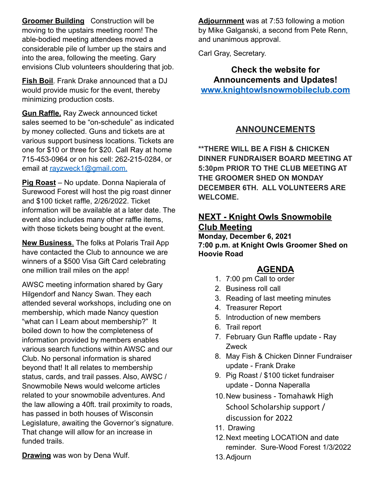**Groomer Building** Construction will be moving to the upstairs meeting room! The able-bodied meeting attendees moved a considerable pile of lumber up the stairs and into the area, following the meeting. Gary envisions Club volunteers shouldering that job.

**Fish Boil**. Frank Drake announced that a DJ would provide music for the event, thereby minimizing production costs.

**Gun Raffle.** Ray Zweck announced ticket sales seemed to be "on-schedule" as indicated by money collected. Guns and tickets are at various support business locations. Tickets are one for \$10 or three for \$20. Call Ray at home 715-453-0964 or on his cell: 262-215-0284, or email at [rayzweck1@gmail.com.](mailto:rayzweck1@gmail.com)

**Pig Roast** – No update. Donna Napierala of Surewood Forest will host the pig roast dinner and \$100 ticket raffle, 2/26/2022. Ticket information will be available at a later date. The event also includes many other raffle items, with those tickets being bought at the event.

**New Business**. The folks at Polaris Trail App have contacted the Club to announce we are winners of a \$500 Visa Gift Card celebrating one million trail miles on the app!

AWSC meeting information shared by Gary Hilgendorf and Nancy Swan. They each attended several workshops, including one on membership, which made Nancy question "what can I Learn about membership?" It boiled down to how the completeness of information provided by members enables various search functions within AWSC and our Club. No personal information is shared beyond that! It all relates to membership status, cards, and trail passes. Also, AWSC / Snowmobile News would welcome articles related to your snowmobile adventures. And the law allowing a 40ft. trail proximity to roads, has passed in both houses of Wisconsin Legislature, awaiting the Governor's signature. That change will allow for an increase in funded trails.

**Drawing** was won by Dena Wulf.

**Adjournment** was at 7:53 following a motion by Mike Galganski, a second from Pete Renn, and unanimous approval.

Carl Gray, Secretary.

## **Check the website for Announcements and Updates! www.knightowlsnowmobileclub.com**

# **ANNOUNCEMENTS**

**\*\*THERE WILL BE A FISH & CHICKEN DINNER FUNDRAISER BOARD MEETING AT 5:30pm PRIOR TO THE CLUB MEETING AT THE GROOMER SHED ON MONDAY DECEMBER 6TH. ALL VOLUNTEERS ARE WELCOME.**

### **NEXT - Knight Owls Snowmobile Club Meeting**

**Monday, December 6, 2021 7:00 p.m. at Knight Owls Groomer Shed on Hoovie Road**

# **AGENDA**

- 1. 7:00 pm Call to order
- 2. Business roll call
- 3. Reading of last meeting minutes
- 4. Treasurer Report
- 5. Introduction of new members
- 6. Trail report
- 7. February Gun Raffle update Ray Zweck
- 8. May Fish & Chicken Dinner Fundraiser update - Frank Drake
- 9. Pig Roast / \$100 ticket fundraiser update - Donna Naperalla
- 10.New business Tomahawk High School Scholarship support / discussion for 2022
- 11. Drawing
- 12.Next meeting LOCATION and date reminder. Sure-Wood Forest 1/3/2022
- 13.Adjourn